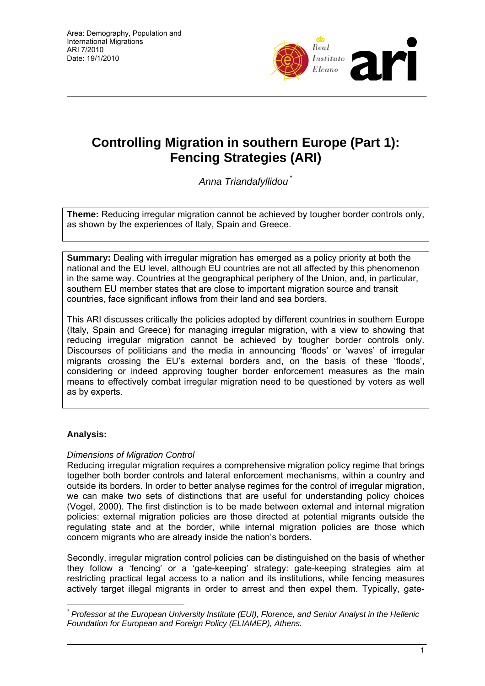

# **Controlling Migration in southern Europe (Part 1): Fencing Strategies (ARI)**

*Anna Triandafyllidou* [\\*](#page-0-0)

**Theme:** Reducing irregular migration cannot be achieved by tougher border controls only, as shown by the experiences of Italy, Spain and Greece.

**Summary:** Dealing with irregular migration has emerged as a policy priority at both the national and the EU level, although EU countries are not all affected by this phenomenon in the same way. Countries at the geographical periphery of the Union, and, in particular, southern EU member states that are close to important migration source and transit countries, face significant inflows from their land and sea borders.

This ARI discusses critically the policies adopted by different countries in southern Europe (Italy, Spain and Greece) for managing irregular migration, with a view to showing that reducing irregular migration cannot be achieved by tougher border controls only. Discourses of politicians and the media in announcing 'floods' or 'waves' of irregular migrants crossing the EU's external borders and, on the basis of these 'floods', considering or indeed approving tougher border enforcement measures as the main means to effectively combat irregular migration need to be questioned by voters as well as by experts.

## **Analysis:**

## *Dimensions of Migration Control*

Reducing irregular migration requires a comprehensive migration policy regime that brings together both border controls and lateral enforcement mechanisms, within a country and outside its borders. In order to better analyse regimes for the control of irregular migration, we can make two sets of distinctions that are useful for understanding policy choices (Vogel, 2000). The first distinction is to be made between external and internal migration policies: external migration policies are those directed at potential migrants outside the regulating state and at the border, while internal migration policies are those which concern migrants who are already inside the nation's borders.

Secondly, irregular migration control policies can be distinguished on the basis of whether they follow a 'fencing' or a 'gate-keeping' strategy: gate-keeping strategies aim at restricting practical legal access to a nation and its institutions, while fencing measures actively target illegal migrants in order to arrest and then expel them. Typically, gate-

<span id="page-0-0"></span> $\overline{a}$ *\* Professor at the European University Institute (EUI), Florence, and Senior Analyst in the Hellenic Foundation for European and Foreign Policy (ELIAMEP), Athens.*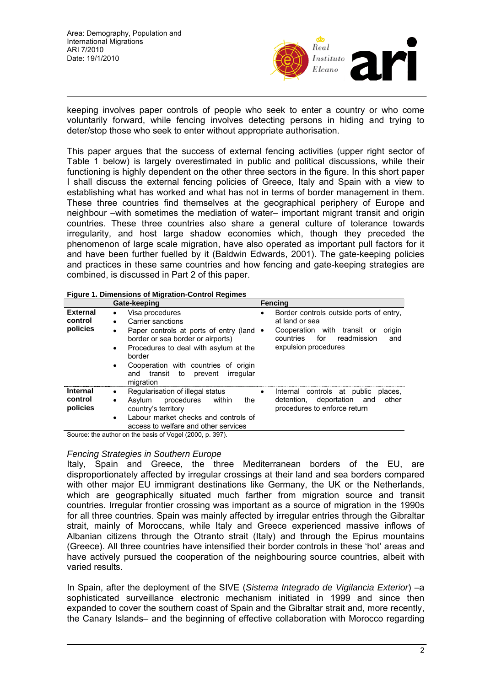

keeping involves paper controls of people who seek to enter a country or who come voluntarily forward, while fencing involves detecting persons in hiding and trying to deter/stop those who seek to enter without appropriate authorisation.

This paper argues that the success of external fencing activities (upper right sector of Table 1 below) is largely overestimated in public and political discussions, while their functioning is highly dependent on the other three sectors in the figure. In this short paper I shall discuss the external fencing policies of Greece, Italy and Spain with a view to establishing what has worked and what has not in terms of border management in them. These three countries find themselves at the geographical periphery of Europe and neighbour –with sometimes the mediation of water– important migrant transit and origin countries. These three countries also share a general culture of tolerance towards irregularity, and host large shadow economies which, though they preceded the phenomenon of large scale migration, have also operated as important pull factors for it and have been further fuelled by it (Baldwin Edwards, 2001). The gate-keeping policies and practices in these same countries and how fencing and gate-keeping strategies are combined, is discussed in Part 2 of this paper.

|                                                         | Gate-keeping                                                                                                                                                                                                                                                                                                                  | <b>Fencina</b>                                                                                                                                                            |
|---------------------------------------------------------|-------------------------------------------------------------------------------------------------------------------------------------------------------------------------------------------------------------------------------------------------------------------------------------------------------------------------------|---------------------------------------------------------------------------------------------------------------------------------------------------------------------------|
| <b>External</b><br>control<br>policies                  | Visa procedures<br>$\bullet$<br>Carrier sanctions<br>$\bullet$<br>Paper controls at ports of entry (land •<br>٠<br>border or sea border or airports)<br>Procedures to deal with asylum at the<br>$\bullet$<br>border<br>Cooperation with countries of origin<br>$\bullet$<br>and transit to prevent<br>irregular<br>migration | Border controls outside ports of entry.<br>٠<br>at land or sea<br>origin<br>Cooperation with transit or<br>for<br>readmission<br>countries<br>and<br>expulsion procedures |
| <b>Internal</b><br>control<br>policies<br>$\sim$ $\sim$ | Regularisation of illegal status<br>$\bullet$<br>procedures<br>within<br>the<br>Asvlum<br>$\bullet$<br>country's territory<br>Labour market checks and controls of<br>$\bullet$<br>access to welfare and other services                                                                                                       | Internal controls at public<br>places,<br>٠<br>detention, deportation and<br>other<br>procedures to enforce return                                                        |

Source: the author on the basis of Vogel (2000, p. 397).

#### *Fencing Strategies in Southern Europe*

Italy, Spain and Greece, the three Mediterranean borders of the EU, are disproportionately affected by irregular crossings at their land and sea borders compared with other major EU immigrant destinations like Germany, the UK or the Netherlands, which are geographically situated much farther from migration source and transit countries. Irregular frontier crossing was important as a source of migration in the 1990s for all three countries. Spain was mainly affected by irregular entries through the Gibraltar strait, mainly of Moroccans, while Italy and Greece experienced massive inflows of Albanian citizens through the Otranto strait (Italy) and through the Epirus mountains (Greece). All three countries have intensified their border controls in these 'hot' areas and have actively pursued the cooperation of the neighbouring source countries, albeit with varied results.

In Spain, after the deployment of the SIVE (*Sistema Integrado de Vigilancia Exterior*) –a sophisticated surveillance electronic mechanism initiated in 1999 and since then expanded to cover the southern coast of Spain and the Gibraltar strait and, more recently, the Canary Islands– and the beginning of effective collaboration with Morocco regarding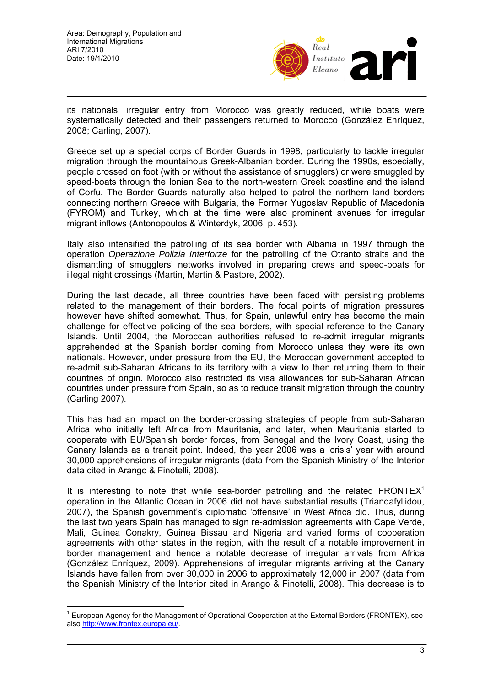$\overline{a}$ 



its nationals, irregular entry from Morocco was greatly reduced, while boats were systematically detected and their passengers returned to Morocco (González Enríquez, 2008; Carling, 2007).

Greece set up a special corps of Border Guards in 1998, particularly to tackle irregular migration through the mountainous Greek-Albanian border. During the 1990s, especially, people crossed on foot (with or without the assistance of smugglers) or were smuggled by speed-boats through the Ionian Sea to the north-western Greek coastline and the island of Corfu. The Border Guards naturally also helped to patrol the northern land borders connecting northern Greece with Bulgaria, the Former Yugoslav Republic of Macedonia (FYROM) and Turkey, which at the time were also prominent avenues for irregular migrant inflows (Antonopoulos & Winterdyk, 2006, p. 453).

Italy also intensified the patrolling of its sea border with Albania in 1997 through the operation *Operazione Polizia Interforze* for the patrolling of the Otranto straits and the dismantling of smugglers' networks involved in preparing crews and speed-boats for illegal night crossings (Martin, Martin & Pastore, 2002).

During the last decade, all three countries have been faced with persisting problems related to the management of their borders. The focal points of migration pressures however have shifted somewhat. Thus, for Spain, unlawful entry has become the main challenge for effective policing of the sea borders, with special reference to the Canary Islands. Until 2004, the Moroccan authorities refused to re-admit irregular migrants apprehended at the Spanish border coming from Morocco unless they were its own nationals. However, under pressure from the EU, the Moroccan government accepted to re-admit sub-Saharan Africans to its territory with a view to then returning them to their countries of origin. Μorocco also restricted its visa allowances for sub-Saharan African countries under pressure from Spain, so as to reduce transit migration through the country (Carling 2007).

This has had an impact on the border-crossing strategies of people from sub-Saharan Africa who initially left Africa from Mauritania, and later, when Mauritania started to cooperate with EU/Spanish border forces, from Senegal and the Ivory Coast, using the Canary Islands as a transit point. Indeed, the year 2006 was a 'crisis' year with around 30,000 apprehensions of irregular migrants (data from the Spanish Ministry of the Interior data cited in Arango & Finotelli, 2008).

It is interesting to note that while sea-border patrolling and the related  $FROMTEX^1$  $FROMTEX^1$ operation in the Atlantic Ocean in 2006 did not have substantial results (Triandafyllidou, 2007), the Spanish government's diplomatic 'offensive' in West Africa did. Thus, during the last two years Spain has managed to sign re-admission agreements with Cape Verde, Mali, Guinea Conakry, Guinea Bissau and Nigeria and varied forms of cooperation agreements with other states in the region, with the result of a notable improvement in border management and hence a notable decrease of irregular arrivals from Africa (González Enríquez, 2009). Apprehensions of irregular migrants arriving at the Canary Islands have fallen from over 30,000 in 2006 to approximately 12,000 in 2007 (data from the Spanish Ministry of the Interior cited in Arango & Finotelli, 2008). This decrease is to

<span id="page-2-0"></span><sup>&</sup>lt;sup>1</sup> European Agency for the Management of Operational Cooperation at the External Borders (FRONTEX), see also [http://www.frontex.europa.eu/.](http://www.frontex.europa.eu/)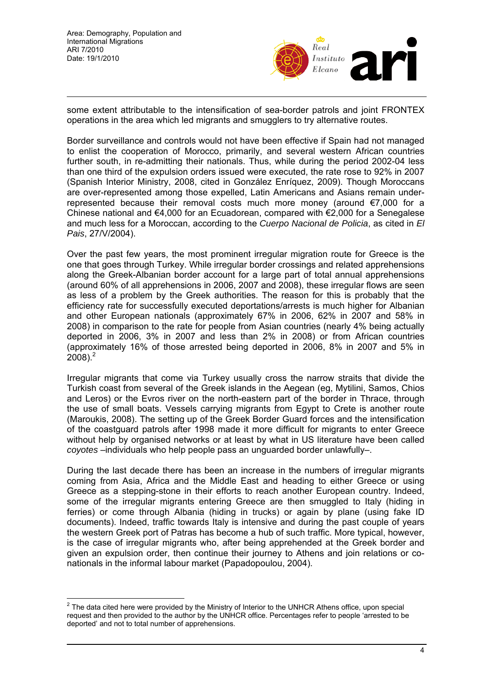

some extent attributable to the intensification of sea-border patrols and joint FRONTEX operations in the area which led migrants and smugglers to try alternative routes.

Border surveillance and controls would not have been effective if Spain had not managed to enlist the cooperation of Morocco, primarily, and several western African countries further south, in re-admitting their nationals. Thus, while during the period 2002-04 less than one third of the expulsion orders issued were executed, the rate rose to 92% in 2007 (Spanish Interior Ministry, 2008, cited in González Enríquez, 2009). Though Moroccans are over-represented among those expelled, Latin Americans and Asians remain underrepresented because their removal costs much more money (around €7,000 for a Chinese national and €4,000 for an Ecuadorean, compared with €2,000 for a Senegalese and much less for a Moroccan, according to the *Cuerpo Nacional de Policia*, as cited in *El Pais*, 27/V/2004).

Over the past few years, the most prominent irregular migration route for Greece is the one that goes through Turkey. While irregular border crossings and related apprehensions along the Greek-Albanian border account for a large part of total annual apprehensions (around 60% of all apprehensions in 2006, 2007 and 2008), these irregular flows are seen as less of a problem by the Greek authorities. The reason for this is probably that the efficiency rate for successfully executed deportations/arrests is much higher for Albanian and other European nationals (approximately 67% in 2006, 62% in 2007 and 58% in 2008) in comparison to the rate for people from Asian countries (nearly 4% being actually deported in 2006, 3% in 2007 and less than 2% in 2008) or from African countries (approximately 16% of those arrested being deported in 2006, 8% in 2007 and 5% in  $2008$  $2008$ ).<sup>2</sup>

Irregular migrants that come via Turkey usually cross the narrow straits that divide the Turkish coast from several of the Greek islands in the Aegean (eg, Mytilini, Samos, Chios and Leros) or the Evros river on the north-eastern part of the border in Thrace, through the use of small boats. Vessels carrying migrants from Egypt to Crete is another route (Maroukis, 2008). The setting up of the Greek Border Guard forces and the intensification of the coastguard patrols after 1998 made it more difficult for migrants to enter Greece without help by organised networks or at least by what in US literature have been called *coyotes* –individuals who help people pass an unguarded border unlawfully–.

During the last decade there has been an increase in the numbers of irregular migrants coming from Asia, Africa and the Middle East and heading to either Greece or using Greece as a stepping-stone in their efforts to reach another European country. Indeed, some of the irregular migrants entering Greece are then smuggled to Italy (hiding in ferries) or come through Albania (hiding in trucks) or again by plane (using fake ID documents). Indeed, traffic towards Italy is intensive and during the past couple of years the western Greek port of Patras has become a hub of such traffic. More typical, however, is the case of irregular migrants who, after being apprehended at the Greek border and given an expulsion order, then continue their journey to Athens and join relations or conationals in the informal labour market (Papadopoulou, 2004).

<span id="page-3-0"></span> $\overline{a}$  $2$  The data cited here were provided by the Ministry of Interior to the UNHCR Athens office, upon special request and then provided to the author by the UNHCR office. Percentages refer to people 'arrested to be deported' and not to total number of apprehensions.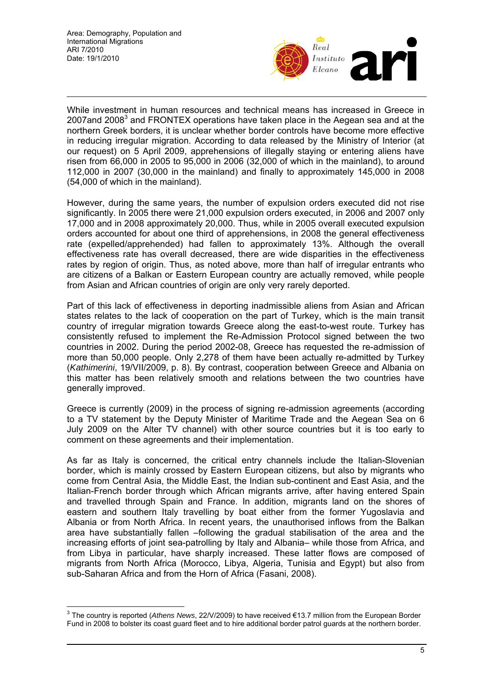$\overline{a}$ 



While investment in human resources and technical means has increased in Greece in 2007and 2008<sup>[3](#page-4-0)</sup> and FRONTEX operations have taken place in the Aegean sea and at the northern Greek borders, it is unclear whether border controls have become more effective in reducing irregular migration. According to data released by the Ministry of Interior (at our request) on 5 April 2009, apprehensions of illegally staying or entering aliens have risen from 66,000 in 2005 to 95,000 in 2006 (32,000 of which in the mainland), to around 112,000 in 2007 (30,000 in the mainland) and finally to approximately 145,000 in 2008 (54,000 of which in the mainland).

However, during the same years, the number of expulsion orders executed did not rise significantly. In 2005 there were 21,000 expulsion orders executed, in 2006 and 2007 only 17,000 and in 2008 approximately 20,000. Thus, while in 2005 overall executed expulsion orders accounted for about one third of apprehensions, in 2008 the general effectiveness rate (expelled/apprehended) had fallen to approximately 13%. Although the overall effectiveness rate has overall decreased, there are wide disparities in the effectiveness rates by region of origin. Thus, as noted above, more than half of irregular entrants who are citizens of a Balkan or Eastern European country are actually removed, while people from Asian and African countries of origin are only very rarely deported.

Part of this lack of effectiveness in deporting inadmissible aliens from Asian and African states relates to the lack of cooperation on the part of Turkey, which is the main transit country of irregular migration towards Greece along the east-to-west route. Turkey has consistently refused to implement the Re-Admission Protocol signed between the two countries in 2002. During the period 2002-08, Greece has requested the re-admission of more than 50,000 people. Only 2,278 of them have been actually re-admitted by Turkey (*Kathimerini*, 19/VII/2009, p. 8). By contrast, cooperation between Greece and Albania on this matter has been relatively smooth and relations between the two countries have generally improved.

Greece is currently (2009) in the process of signing re-admission agreements (according to a TV statement by the Deputy Minister of Maritime Trade and the Aegean Sea on 6 July 2009 on the Alter TV channel) with other source countries but it is too early to comment on these agreements and their implementation.

As far as Italy is concerned, the critical entry channels include the Italian-Slovenian border, which is mainly crossed by Eastern European citizens, but also by migrants who come from Central Asia, the Middle East, the Indian sub-continent and East Asia, and the Italian-French border through which African migrants arrive, after having entered Spain and travelled through Spain and France. In addition, migrants land on the shores of eastern and southern Italy travelling by boat either from the former Yugoslavia and Albania or from North Africa. In recent years, the unauthorised inflows from the Balkan area have substantially fallen –following the gradual stabilisation of the area and the increasing efforts of joint sea-patrolling by Italy and Albania– while those from Africa, and from Libya in particular, have sharply increased. These latter flows are composed of migrants from North Africa (Morocco, Libya, Algeria, Tunisia and Egypt) but also from sub-Saharan Africa and from the Horn of Africa (Fasani, 2008).

<span id="page-4-0"></span><sup>3</sup> The country is reported (*Athens News*, 22/V/2009) to have received €13.7 million from the European Border Fund in 2008 to bolster its coast guard fleet and to hire additional border patrol guards at the northern border.